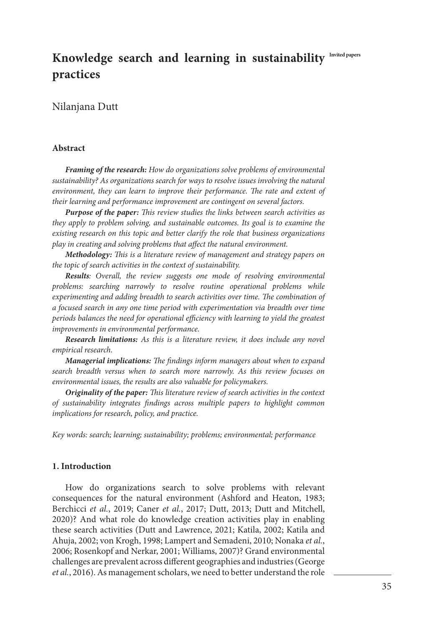# **Invited papers Knowledge search and learning in sustainability practices**

## Nilanjana Dutt

#### **Abstract**

*Framing of the research: How do organizations solve problems of environmental sustainability? As organizations search for ways to resolve issues involving the natural environment, they can learn to improve their performance. The rate and extent of their learning and performance improvement are contingent on several factors.*

*Purpose of the paper: This review studies the links between search activities as they apply to problem solving, and sustainable outcomes. Its goal is to examine the existing research on this topic and better clarify the role that business organizations play in creating and solving problems that affect the natural environment.*

*Methodology: This is a literature review of management and strategy papers on the topic of search activities in the context of sustainability.*

*Results: Overall, the review suggests one mode of resolving environmental problems: searching narrowly to resolve routine operational problems while experimenting and adding breadth to search activities over time. The combination of a focused search in any one time period with experimentation via breadth over time periods balances the need for operational efficiency with learning to yield the greatest improvements in environmental performance.*

*Research limitations: As this is a literature review, it does include any novel empirical research.*

*Managerial implications: The findings inform managers about when to expand search breadth versus when to search more narrowly. As this review focuses on environmental issues, the results are also valuable for policymakers.*

*Originality of the paper: This literature review of search activities in the context of sustainability integrates findings across multiple papers to highlight common implications for research, policy, and practice.*

*Key words: search; learning; sustainability; problems; environmental; performance*

### **1. Introduction**

How do organizations search to solve problems with relevant consequences for the natural environment (Ashford and Heaton, 1983; Berchicci *et al.*, 2019; Caner *et al.*, 2017; Dutt, 2013; Dutt and Mitchell, 2020)? And what role do knowledge creation activities play in enabling these search activities (Dutt and Lawrence, 2021; Katila, 2002; Katila and Ahuja, 2002; von Krogh, 1998; Lampert and Semadeni, 2010; Nonaka *et al.*, 2006; Rosenkopf and Nerkar, 2001; Williams, 2007)? Grand environmental challenges are prevalent across different geographies and industries (George *et al.*, 2016). As management scholars, we need to better understand the role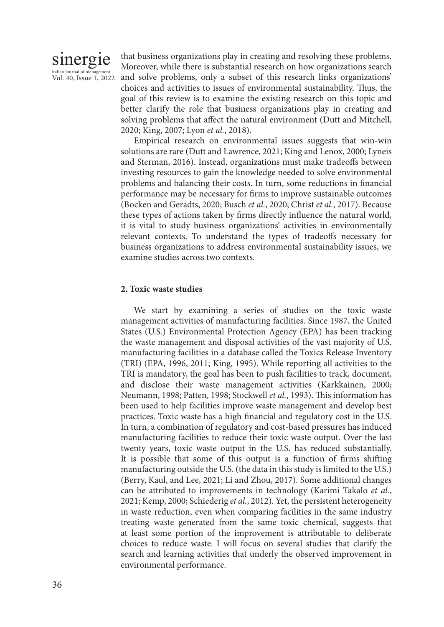# sinergie italian journal of manage Vol. 40, Issue 1, 2022

that business organizations play in creating and resolving these problems. Moreover, while there is substantial research on how organizations search and solve problems, only a subset of this research links organizations' choices and activities to issues of environmental sustainability. Thus, the goal of this review is to examine the existing research on this topic and better clarify the role that business organizations play in creating and solving problems that affect the natural environment (Dutt and Mitchell, 2020; King, 2007; Lyon *et al.*, 2018).

Empirical research on environmental issues suggests that win-win solutions are rare (Dutt and Lawrence, 2021; King and Lenox, 2000; Lyneis and Sterman, 2016). Instead, organizations must make tradeoffs between investing resources to gain the knowledge needed to solve environmental problems and balancing their costs. In turn, some reductions in financial performance may be necessary for firms to improve sustainable outcomes (Bocken and Geradts, 2020; Busch *et al.*, 2020; Christ *et al.*, 2017). Because these types of actions taken by firms directly influence the natural world, it is vital to study business organizations' activities in environmentally relevant contexts. To understand the types of tradeoffs necessary for business organizations to address environmental sustainability issues, we examine studies across two contexts.

### **2. Toxic waste studies**

We start by examining a series of studies on the toxic waste management activities of manufacturing facilities. Since 1987, the United States (U.S.) Environmental Protection Agency (EPA) has been tracking the waste management and disposal activities of the vast majority of U.S. manufacturing facilities in a database called the Toxics Release Inventory (TRI) (EPA, 1996, 2011; King, 1995). While reporting all activities to the TRI is mandatory, the goal has been to push facilities to track, document, and disclose their waste management activities (Karkkainen, 2000; Neumann, 1998; Patten, 1998; Stockwell *et al.*, 1993). This information has been used to help facilities improve waste management and develop best practices. Toxic waste has a high financial and regulatory cost in the U.S. In turn, a combination of regulatory and cost-based pressures has induced manufacturing facilities to reduce their toxic waste output. Over the last twenty years, toxic waste output in the U.S. has reduced substantially. It is possible that some of this output is a function of firms shifting manufacturing outside the U.S. (the data in this study is limited to the U.S.) (Berry, Kaul, and Lee, 2021; Li and Zhou, 2017). Some additional changes can be attributed to improvements in technology (Karimi Takalo *et al.*, 2021; Kemp, 2000; Schiederig *et al.*, 2012). Yet, the persistent heterogeneity in waste reduction, even when comparing facilities in the same industry treating waste generated from the same toxic chemical, suggests that at least some portion of the improvement is attributable to deliberate choices to reduce waste. I will focus on several studies that clarify the search and learning activities that underly the observed improvement in environmental performance.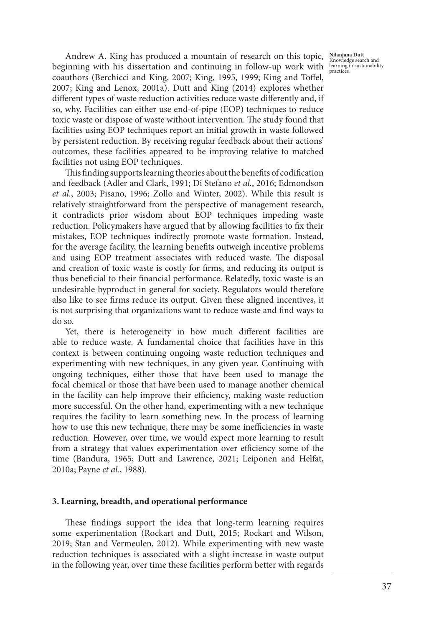**Nilanjana Dutt** Knowledge search and learning in sustainability practices

Andrew A. King has produced a mountain of research on this topic, beginning with his dissertation and continuing in follow-up work with coauthors (Berchicci and King, 2007; King, 1995, 1999; King and Toffel, 2007; King and Lenox, 2001a). Dutt and King (2014) explores whether different types of waste reduction activities reduce waste differently and, if so, why. Facilities can either use end-of-pipe (EOP) techniques to reduce toxic waste or dispose of waste without intervention. The study found that facilities using EOP techniques report an initial growth in waste followed by persistent reduction. By receiving regular feedback about their actions' outcomes, these facilities appeared to be improving relative to matched facilities not using EOP techniques.

This finding supports learning theories about the benefits of codification and feedback (Adler and Clark, 1991; Di Stefano *et al.*, 2016; Edmondson *et al.*, 2003; Pisano, 1996; Zollo and Winter, 2002). While this result is relatively straightforward from the perspective of management research, it contradicts prior wisdom about EOP techniques impeding waste reduction. Policymakers have argued that by allowing facilities to fix their mistakes, EOP techniques indirectly promote waste formation. Instead, for the average facility, the learning benefits outweigh incentive problems and using EOP treatment associates with reduced waste. The disposal and creation of toxic waste is costly for firms, and reducing its output is thus beneficial to their financial performance. Relatedly, toxic waste is an undesirable byproduct in general for society. Regulators would therefore also like to see firms reduce its output. Given these aligned incentives, it is not surprising that organizations want to reduce waste and find ways to do so.

Yet, there is heterogeneity in how much different facilities are able to reduce waste. A fundamental choice that facilities have in this context is between continuing ongoing waste reduction techniques and experimenting with new techniques, in any given year. Continuing with ongoing techniques, either those that have been used to manage the focal chemical or those that have been used to manage another chemical in the facility can help improve their efficiency, making waste reduction more successful. On the other hand, experimenting with a new technique requires the facility to learn something new. In the process of learning how to use this new technique, there may be some inefficiencies in waste reduction. However, over time, we would expect more learning to result from a strategy that values experimentation over efficiency some of the time (Bandura, 1965; Dutt and Lawrence, 2021; Leiponen and Helfat, 2010a; Payne *et al.*, 1988).

#### **3. Learning, breadth, and operational performance**

These findings support the idea that long-term learning requires some experimentation (Rockart and Dutt, 2015; Rockart and Wilson, 2019; Stan and Vermeulen, 2012). While experimenting with new waste reduction techniques is associated with a slight increase in waste output in the following year, over time these facilities perform better with regards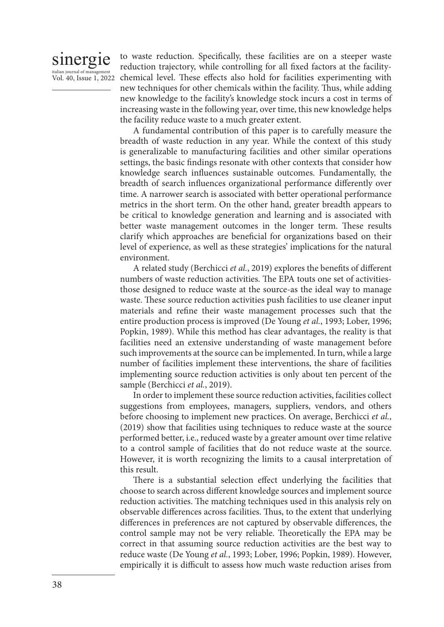# sinergie italian journal of manag

Vol. 40, Issue 1, 2022 chemical level. These effects also hold for facilities experimenting with to waste reduction. Specifically, these facilities are on a steeper waste reduction trajectory, while controlling for all fixed factors at the facilitynew techniques for other chemicals within the facility. Thus, while adding new knowledge to the facility's knowledge stock incurs a cost in terms of increasing waste in the following year, over time, this new knowledge helps the facility reduce waste to a much greater extent.

> A fundamental contribution of this paper is to carefully measure the breadth of waste reduction in any year. While the context of this study is generalizable to manufacturing facilities and other similar operations settings, the basic findings resonate with other contexts that consider how knowledge search influences sustainable outcomes. Fundamentally, the breadth of search influences organizational performance differently over time. A narrower search is associated with better operational performance metrics in the short term. On the other hand, greater breadth appears to be critical to knowledge generation and learning and is associated with better waste management outcomes in the longer term. These results clarify which approaches are beneficial for organizations based on their level of experience, as well as these strategies' implications for the natural environment.

> A related study (Berchicci *et al.*, 2019) explores the benefits of different numbers of waste reduction activities. The EPA touts one set of activitiesthose designed to reduce waste at the source-as the ideal way to manage waste. These source reduction activities push facilities to use cleaner input materials and refine their waste management processes such that the entire production process is improved (De Young *et al.*, 1993; Lober, 1996; Popkin, 1989). While this method has clear advantages, the reality is that facilities need an extensive understanding of waste management before such improvements at the source can be implemented. In turn, while a large number of facilities implement these interventions, the share of facilities implementing source reduction activities is only about ten percent of the sample (Berchicci *et al.*, 2019).

> In order to implement these source reduction activities, facilities collect suggestions from employees, managers, suppliers, vendors, and others before choosing to implement new practices. On average, Berchicci *et al.*, (2019) show that facilities using techniques to reduce waste at the source performed better, i.e., reduced waste by a greater amount over time relative to a control sample of facilities that do not reduce waste at the source. However, it is worth recognizing the limits to a causal interpretation of this result.

> There is a substantial selection effect underlying the facilities that choose to search across different knowledge sources and implement source reduction activities. The matching techniques used in this analysis rely on observable differences across facilities. Thus, to the extent that underlying differences in preferences are not captured by observable differences, the control sample may not be very reliable. Theoretically the EPA may be correct in that assuming source reduction activities are the best way to reduce waste (De Young *et al.*, 1993; Lober, 1996; Popkin, 1989). However, empirically it is difficult to assess how much waste reduction arises from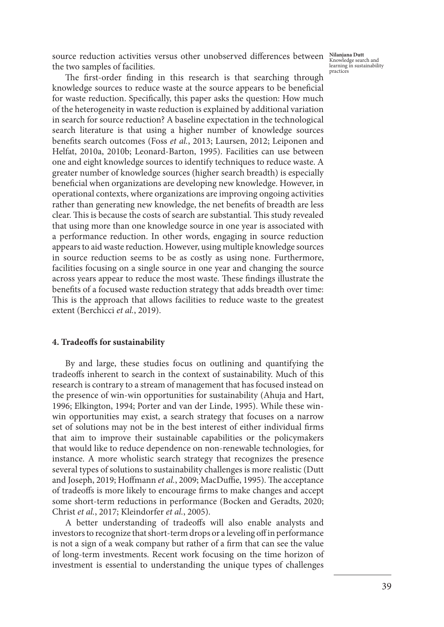source reduction activities versus other unobserved differences between the two samples of facilities.

**Nilanjana Dutt** Knowledge search and learning in sustainability practices

The first-order finding in this research is that searching through knowledge sources to reduce waste at the source appears to be beneficial for waste reduction. Specifically, this paper asks the question: How much of the heterogeneity in waste reduction is explained by additional variation in search for source reduction? A baseline expectation in the technological search literature is that using a higher number of knowledge sources benefits search outcomes (Foss *et al.*, 2013; Laursen, 2012; Leiponen and Helfat, 2010a, 2010b; Leonard-Barton, 1995). Facilities can use between one and eight knowledge sources to identify techniques to reduce waste. A greater number of knowledge sources (higher search breadth) is especially beneficial when organizations are developing new knowledge. However, in operational contexts, where organizations are improving ongoing activities rather than generating new knowledge, the net benefits of breadth are less clear. This is because the costs of search are substantial. This study revealed that using more than one knowledge source in one year is associated with a performance reduction. In other words, engaging in source reduction appears to aid waste reduction. However, using multiple knowledge sources in source reduction seems to be as costly as using none. Furthermore, facilities focusing on a single source in one year and changing the source across years appear to reduce the most waste. These findings illustrate the benefits of a focused waste reduction strategy that adds breadth over time: This is the approach that allows facilities to reduce waste to the greatest extent (Berchicci *et al.*, 2019).

### **4. Tradeoffs for sustainability**

By and large, these studies focus on outlining and quantifying the tradeoffs inherent to search in the context of sustainability. Much of this research is contrary to a stream of management that has focused instead on the presence of win-win opportunities for sustainability (Ahuja and Hart, 1996; Elkington, 1994; Porter and van der Linde, 1995). While these winwin opportunities may exist, a search strategy that focuses on a narrow set of solutions may not be in the best interest of either individual firms that aim to improve their sustainable capabilities or the policymakers that would like to reduce dependence on non-renewable technologies, for instance. A more wholistic search strategy that recognizes the presence several types of solutions to sustainability challenges is more realistic (Dutt and Joseph, 2019; Hoffmann *et al.*, 2009; MacDuffie, 1995). The acceptance of tradeoffs is more likely to encourage firms to make changes and accept some short-term reductions in performance (Bocken and Geradts, 2020; Christ *et al.*, 2017; Kleindorfer *et al.*, 2005).

A better understanding of tradeoffs will also enable analysts and investors to recognize that short-term drops or a leveling off in performance is not a sign of a weak company but rather of a firm that can see the value of long-term investments. Recent work focusing on the time horizon of investment is essential to understanding the unique types of challenges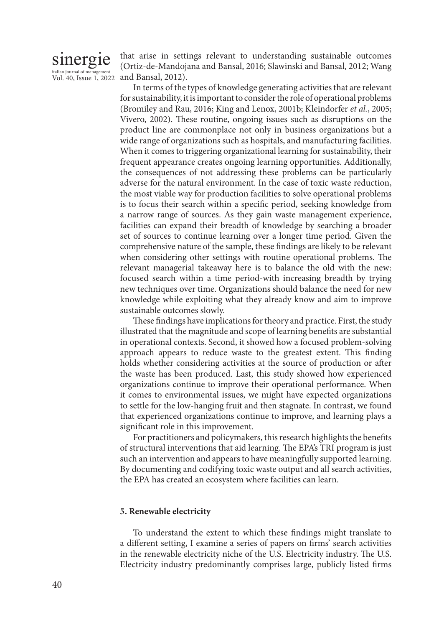# sinergie italian journal of ma

Vol. 40, Issue 1, 2022

that arise in settings relevant to understanding sustainable outcomes (Ortiz-de-Mandojana and Bansal, 2016; Slawinski and Bansal, 2012; Wang and Bansal, 2012).

In terms of the types of knowledge generating activities that are relevant for sustainability, it is important to consider the role of operational problems (Bromiley and Rau, 2016; King and Lenox, 2001b; Kleindorfer *et al.*, 2005; Vivero, 2002). These routine, ongoing issues such as disruptions on the product line are commonplace not only in business organizations but a wide range of organizations such as hospitals, and manufacturing facilities. When it comes to triggering organizational learning for sustainability, their frequent appearance creates ongoing learning opportunities. Additionally, the consequences of not addressing these problems can be particularly adverse for the natural environment. In the case of toxic waste reduction, the most viable way for production facilities to solve operational problems is to focus their search within a specific period, seeking knowledge from a narrow range of sources. As they gain waste management experience, facilities can expand their breadth of knowledge by searching a broader set of sources to continue learning over a longer time period. Given the comprehensive nature of the sample, these findings are likely to be relevant when considering other settings with routine operational problems. The relevant managerial takeaway here is to balance the old with the new: focused search within a time period-with increasing breadth by trying new techniques over time. Organizations should balance the need for new knowledge while exploiting what they already know and aim to improve sustainable outcomes slowly.

These findings have implications for theory and practice. First, the study illustrated that the magnitude and scope of learning benefits are substantial in operational contexts. Second, it showed how a focused problem-solving approach appears to reduce waste to the greatest extent. This finding holds whether considering activities at the source of production or after the waste has been produced. Last, this study showed how experienced organizations continue to improve their operational performance. When it comes to environmental issues, we might have expected organizations to settle for the low-hanging fruit and then stagnate. In contrast, we found that experienced organizations continue to improve, and learning plays a significant role in this improvement.

For practitioners and policymakers, this research highlights the benefits of structural interventions that aid learning. The EPA's TRI program is just such an intervention and appears to have meaningfully supported learning. By documenting and codifying toxic waste output and all search activities, the EPA has created an ecosystem where facilities can learn.

### **5. Renewable electricity**

To understand the extent to which these findings might translate to a different setting, I examine a series of papers on firms' search activities in the renewable electricity niche of the U.S. Electricity industry. The U.S. Electricity industry predominantly comprises large, publicly listed firms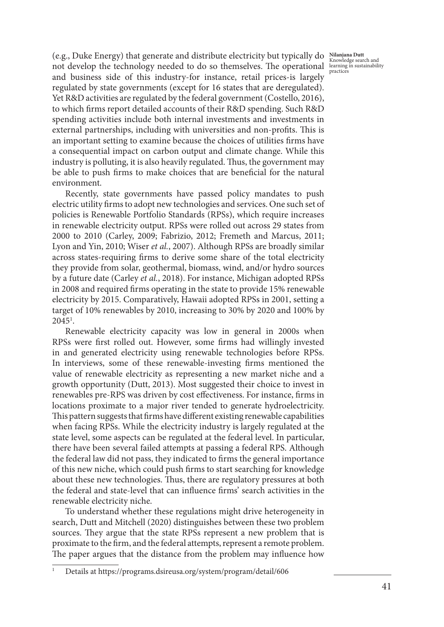practices

(e.g., Duke Energy) that generate and distribute electricity but typically do **Nilanjana Dutt** (i.g.,  $\frac{1}{2}$  knowledge search and the technology needed to do so themselves. The operational learning in sustainability and business side of this industry-for instance, retail prices-is largely regulated by state governments (except for 16 states that are deregulated). Yet R&D activities are regulated by the federal government (Costello, 2016), to which firms report detailed accounts of their R&D spending. Such R&D spending activities include both internal investments and investments in external partnerships, including with universities and non-profits. This is an important setting to examine because the choices of utilities firms have a consequential impact on carbon output and climate change. While this industry is polluting, it is also heavily regulated. Thus, the government may be able to push firms to make choices that are beneficial for the natural environment.

Recently, state governments have passed policy mandates to push electric utility firms to adopt new technologies and services. One such set of policies is Renewable Portfolio Standards (RPSs), which require increases in renewable electricity output. RPSs were rolled out across 29 states from 2000 to 2010 (Carley, 2009; Fabrizio, 2012; Fremeth and Marcus, 2011; Lyon and Yin, 2010; Wiser *et al.*, 2007). Although RPSs are broadly similar across states-requiring firms to derive some share of the total electricity they provide from solar, geothermal, biomass, wind, and/or hydro sources by a future date (Carley *et al.*, 2018). For instance, Michigan adopted RPSs in 2008 and required firms operating in the state to provide 15% renewable electricity by 2015. Comparatively, Hawaii adopted RPSs in 2001, setting a target of 10% renewables by 2010, increasing to 30% by 2020 and 100% by  $2045^{\circ}$ .

Renewable electricity capacity was low in general in 2000s when RPSs were first rolled out. However, some firms had willingly invested in and generated electricity using renewable technologies before RPSs. In interviews, some of these renewable-investing firms mentioned the value of renewable electricity as representing a new market niche and a growth opportunity (Dutt, 2013). Most suggested their choice to invest in renewables pre-RPS was driven by cost effectiveness. For instance, firms in locations proximate to a major river tended to generate hydroelectricity. This pattern suggests that firms have different existing renewable capabilities when facing RPSs. While the electricity industry is largely regulated at the state level, some aspects can be regulated at the federal level. In particular, there have been several failed attempts at passing a federal RPS. Although the federal law did not pass, they indicated to firms the general importance of this new niche, which could push firms to start searching for knowledge about these new technologies. Thus, there are regulatory pressures at both the federal and state-level that can influence firms' search activities in the renewable electricity niche.

To understand whether these regulations might drive heterogeneity in search, Dutt and Mitchell (2020) distinguishes between these two problem sources. They argue that the state RPSs represent a new problem that is proximate to the firm, and the federal attempts, represent a remote problem. The paper argues that the distance from the problem may influence how

<sup>1</sup> Details at https://programs.dsireusa.org/system/program/detail/606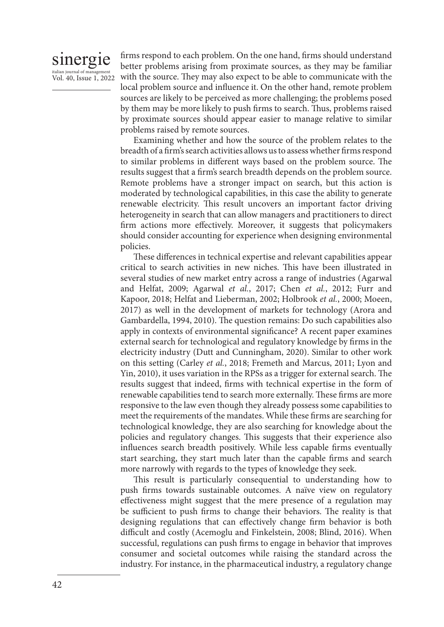# sinergie italian journal of manag Vol. 40, Issue 1, 2022

firms respond to each problem. On the one hand, firms should understand better problems arising from proximate sources, as they may be familiar with the source. They may also expect to be able to communicate with the local problem source and influence it. On the other hand, remote problem sources are likely to be perceived as more challenging; the problems posed by them may be more likely to push firms to search. Thus, problems raised by proximate sources should appear easier to manage relative to similar problems raised by remote sources.

Examining whether and how the source of the problem relates to the breadth of a firm's search activities allows us to assess whether firms respond to similar problems in different ways based on the problem source. The results suggest that a firm's search breadth depends on the problem source. Remote problems have a stronger impact on search, but this action is moderated by technological capabilities, in this case the ability to generate renewable electricity. This result uncovers an important factor driving heterogeneity in search that can allow managers and practitioners to direct firm actions more effectively. Moreover, it suggests that policymakers should consider accounting for experience when designing environmental policies.

These differences in technical expertise and relevant capabilities appear critical to search activities in new niches. This have been illustrated in several studies of new market entry across a range of industries (Agarwal and Helfat, 2009; Agarwal *et al.*, 2017; Chen *et al.*, 2012; Furr and Kapoor, 2018; Helfat and Lieberman, 2002; Holbrook *et al.*, 2000; Moeen, 2017) as well in the development of markets for technology (Arora and Gambardella, 1994, 2010). The question remains: Do such capabilities also apply in contexts of environmental significance? A recent paper examines external search for technological and regulatory knowledge by firms in the electricity industry (Dutt and Cunningham, 2020). Similar to other work on this setting (Carley *et al.*, 2018; Fremeth and Marcus, 2011; Lyon and Yin, 2010), it uses variation in the RPSs as a trigger for external search. The results suggest that indeed, firms with technical expertise in the form of renewable capabilities tend to search more externally. These firms are more responsive to the law even though they already possess some capabilities to meet the requirements of the mandates. While these firms are searching for technological knowledge, they are also searching for knowledge about the policies and regulatory changes. This suggests that their experience also influences search breadth positively. While less capable firms eventually start searching, they start much later than the capable firms and search more narrowly with regards to the types of knowledge they seek.

This result is particularly consequential to understanding how to push firms towards sustainable outcomes. A naïve view on regulatory effectiveness might suggest that the mere presence of a regulation may be sufficient to push firms to change their behaviors. The reality is that designing regulations that can effectively change firm behavior is both difficult and costly (Acemoglu and Finkelstein, 2008; Blind, 2016). When successful, regulations can push firms to engage in behavior that improves consumer and societal outcomes while raising the standard across the industry. For instance, in the pharmaceutical industry, a regulatory change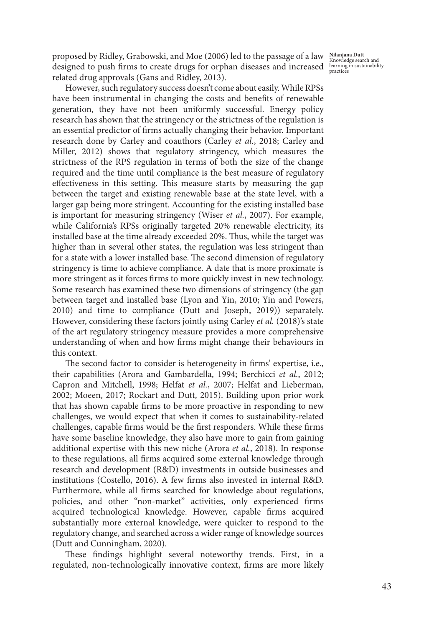**Nilanjana Dutt** Knowledge search and learning in sustainability practices

proposed by Ridley, Grabowski, and Moe (2006) led to the passage of a law designed to push firms to create drugs for orphan diseases and increased related drug approvals (Gans and Ridley, 2013).

However, such regulatory success doesn't come about easily. While RPSs have been instrumental in changing the costs and benefits of renewable generation, they have not been uniformly successful. Energy policy research has shown that the stringency or the strictness of the regulation is an essential predictor of firms actually changing their behavior. Important research done by Carley and coauthors (Carley *et al.*, 2018; Carley and Miller, 2012) shows that regulatory stringency, which measures the strictness of the RPS regulation in terms of both the size of the change required and the time until compliance is the best measure of regulatory effectiveness in this setting. This measure starts by measuring the gap between the target and existing renewable base at the state level, with a larger gap being more stringent. Accounting for the existing installed base is important for measuring stringency (Wiser *et al.*, 2007). For example, while California's RPSs originally targeted 20% renewable electricity, its installed base at the time already exceeded 20%. Thus, while the target was higher than in several other states, the regulation was less stringent than for a state with a lower installed base. The second dimension of regulatory stringency is time to achieve compliance. A date that is more proximate is more stringent as it forces firms to more quickly invest in new technology. Some research has examined these two dimensions of stringency (the gap between target and installed base (Lyon and Yin, 2010; Yin and Powers, 2010) and time to compliance (Dutt and Joseph, 2019)) separately. However, considering these factors jointly using Carley *et al.* (2018)'s state of the art regulatory stringency measure provides a more comprehensive understanding of when and how firms might change their behaviours in this context.

The second factor to consider is heterogeneity in firms' expertise, i.e., their capabilities (Arora and Gambardella, 1994; Berchicci *et al.*, 2012; Capron and Mitchell, 1998; Helfat *et al.*, 2007; Helfat and Lieberman, 2002; Moeen, 2017; Rockart and Dutt, 2015). Building upon prior work that has shown capable firms to be more proactive in responding to new challenges, we would expect that when it comes to sustainability-related challenges, capable firms would be the first responders. While these firms have some baseline knowledge, they also have more to gain from gaining additional expertise with this new niche (Arora *et al.*, 2018). In response to these regulations, all firms acquired some external knowledge through research and development (R&D) investments in outside businesses and institutions (Costello, 2016). A few firms also invested in internal R&D. Furthermore, while all firms searched for knowledge about regulations, policies, and other "non-market" activities, only experienced firms acquired technological knowledge. However, capable firms acquired substantially more external knowledge, were quicker to respond to the regulatory change, and searched across a wider range of knowledge sources (Dutt and Cunningham, 2020).

These findings highlight several noteworthy trends. First, in a regulated, non-technologically innovative context, firms are more likely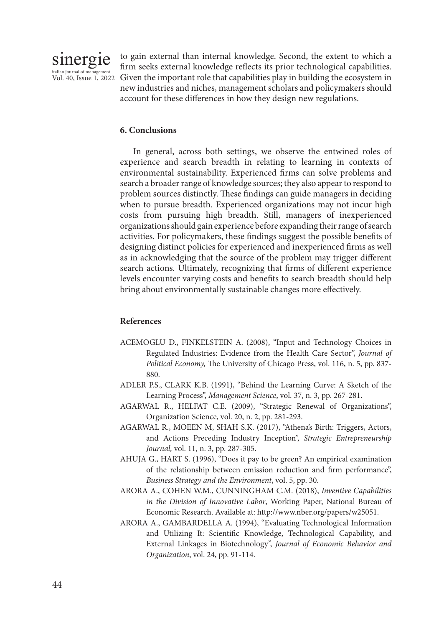

italian journal of management<br>Vol. 40, Issue 1, 2022 Given the important role that capabilities play in building the ecosystem in to gain external than internal knowledge. Second, the extent to which a firm seeks external knowledge reflects its prior technological capabilities. new industries and niches, management scholars and policymakers should account for these differences in how they design new regulations.

### **6. Conclusions**

In general, across both settings, we observe the entwined roles of experience and search breadth in relating to learning in contexts of environmental sustainability. Experienced firms can solve problems and search a broader range of knowledge sources; they also appear to respond to problem sources distinctly. These findings can guide managers in deciding when to pursue breadth. Experienced organizations may not incur high costs from pursuing high breadth. Still, managers of inexperienced organizations should gain experience before expanding their range of search activities. For policymakers, these findings suggest the possible benefits of designing distinct policies for experienced and inexperienced firms as well as in acknowledging that the source of the problem may trigger different search actions. Ultimately, recognizing that firms of different experience levels encounter varying costs and benefits to search breadth should help bring about environmentally sustainable changes more effectively.

## **References**

- ACEMOGLU D., FINKELSTEIN A. (2008), "Input and Technology Choices in Regulated Industries: Evidence from the Health Care Sector", *Journal of Political Economy,* The University of Chicago Press, vol. 116, n. 5, pp. 837- 880.
- ADLER P.S., CLARK K.B. (1991), "Behind the Learning Curve: A Sketch of the Learning Process", *Management Science*, vol. 37, n. 3, pp. 267-281.
- AGARWAL R., HELFAT C.E. (2009), "Strategic Renewal of Organizations", Organization Science, vol. 20, n. 2, pp. 281-293.
- AGARWAL R., MOEEN M, SHAH S.K. (2017), "Athena's Birth: Triggers, Actors, and Actions Preceding Industry Inception", *Strategic Entrepreneurship Journal,* vol. 11, n. 3, pp. 287-305.
- AHUJA G., HART S. (1996), "Does it pay to be green? An empirical examination of the relationship between emission reduction and firm performance", *Business Strategy and the Environment*, vol. 5, pp. 30.
- ARORA A., COHEN W.M., CUNNINGHAM C.M. (2018), *Inventive Capabilities in the Division of Innovative Labor*, Working Paper, National Bureau of Economic Research. Available at: http://www.nber.org/papers/w25051.
- ARORA A., GAMBARDELLA A. (1994), "Evaluating Technological Information and Utilizing It: Scientific Knowledge, Technological Capability, and External Linkages in Biotechnology", *Journal of Economic Behavior and Organization*, vol. 24, pp. 91-114.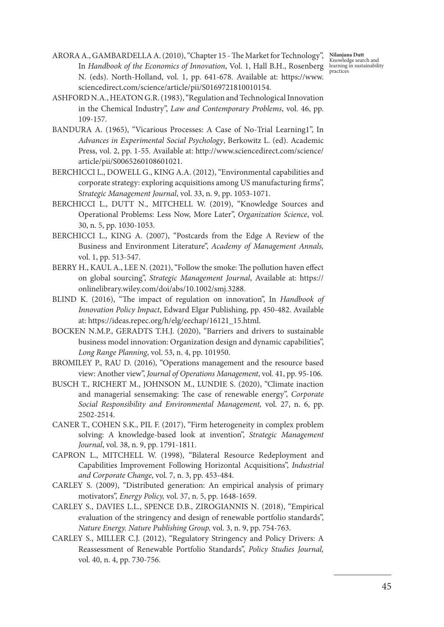**Nilanjana Dutt** Knowledge search and learning in sustainability practices

- ARORA A., GAMBARDELLA A. (2010), "Chapter 15 The Market for Technology", In *Handbook of the Economics of Innovation*, Vol. 1, Hall B.H., Rosenberg N. (eds). North-Holland, vol. 1, pp. 641-678. Available at: https://www. sciencedirect.com/science/article/pii/S0169721810010154.
- ASHFORD N.A., HEATON G.R. (1983), "Regulation and Technological Innovation in the Chemical Industry", *Law and Contemporary Problems*, vol. 46, pp. 109-157.
- BANDURA A. (1965), "Vicarious Processes: A Case of No-Trial Learning1", In *Advances in Experimental Social Psychology*, Berkowitz L. (ed). Academic Press, vol. 2, pp. 1-55. Available at: http://www.sciencedirect.com/science/ article/pii/S0065260108601021.
- BERCHICCI L., DOWELL G., KING A.A. (2012), "Environmental capabilities and corporate strategy: exploring acquisitions among US manufacturing firms", S*trategic Management Journal*, vol. 33, n. 9, pp. 1053-1071.
- BERCHICCI L., DUTT N., MITCHELL W. (2019), "Knowledge Sources and Operational Problems: Less Now, More Later", *Organization Science*, vol. 30, n. 5, pp. 1030-1053.
- BERCHICCI L., KING A. (2007), "Postcards from the Edge A Review of the Business and Environment Literature", *Academy of Management Annals,*  vol. 1, pp. 513-547.
- BERRY H., KAUL A., LEE N. (2021), "Follow the smoke: The pollution haven effect on global sourcing", *Strategic Management Journal*, Available at: https:// onlinelibrary.wiley.com/doi/abs/10.1002/smj.3288.
- BLIND K. (2016), "The impact of regulation on innovation", In *Handbook of Innovation Policy Impact*, Edward Elgar Publishing, pp. 450-482. Available at: https://ideas.repec.org/h/elg/eechap/16121\_15.html.
- BOCKEN N.M.P., GERADTS T.H.J. (2020), "Barriers and drivers to sustainable business model innovation: Organization design and dynamic capabilities", *Long Range Planning*, vol. 53, n. 4, pp. 101950.
- BROMILEY P., RAU D. (2016), "Operations management and the resource based view: Another view", *Journal of Operations Management*, vol. 41, pp. 95-106.
- BUSCH T., RICHERT M., JOHNSON M., LUNDIE S. (2020), "Climate inaction and managerial sensemaking: The case of renewable energy", *Corporate Social Responsibility and Environmental Management,* vol. 27, n. 6, pp. 2502-2514.
- CANER T., COHEN S.K., PIL F. (2017), "Firm heterogeneity in complex problem solving: A knowledge-based look at invention", *Strategic Management Journal*, vol. 38, n. 9, pp. 1791-1811.
- CAPRON L., MITCHELL W. (1998), "Bilateral Resource Redeployment and Capabilities Improvement Following Horizontal Acquisitions", *Industrial and Corporate Change*, vol. 7, n. 3, pp. 453-484.
- CARLEY S. (2009), "Distributed generation: An empirical analysis of primary motivators", *Energy Policy,* vol. 37, n. 5, pp. 1648-1659.
- CARLEY S., DAVIES L.L., SPENCE D.B., ZIROGIANNIS N. (2018), "Empirical evaluation of the stringency and design of renewable portfolio standards", *Nature Energy. Nature Publishing Group,* vol. 3, n. 9, pp. 754-763.
- CARLEY S., MILLER C.J. (2012), "Regulatory Stringency and Policy Drivers: A Reassessment of Renewable Portfolio Standards", *Policy Studies Journal,*  vol. 40, n. 4, pp. 730-756.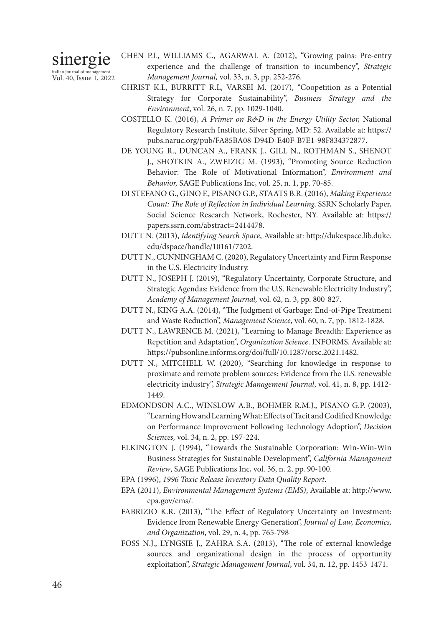sinergie italian journal of management Vol. 40, Issue 1, 2022 CHEN P.L, WILLIAMS C., AGARWAL A. (2012), "Growing pains: Pre-entry experience and the challenge of transition to incumbency", *Strategic Management Journal,* vol. 33, n. 3, pp. 252-276.

- CHRIST K.L, BURRITT R.L, VARSEI M. (2017), "Coopetition as a Potential Strategy for Corporate Sustainability", *Business Strategy and the Environment*, vol. 26, n. 7, pp. 1029-1040.
- COSTELLO K. (2016), *A Primer on R&D in the Energy Utility Sector,* National Regulatory Research Institute, Silver Spring, MD: 52. Available at: https:// pubs.naruc.org/pub/FA85BA08-D94D-E40F-B7E1-98F834372877.
- DE YOUNG R., DUNCAN A., FRANK J., GILL N., ROTHMAN S., SHENOT J., SHOTKIN A., ZWEIZIG M. (1993), "Promoting Source Reduction Behavior: The Role of Motivational Information", *Environment and Behavior,* SAGE Publications Inc, vol. 25, n. 1, pp. 70-85.
- DI STEFANO G., GINO F., PISANO G.P., STAATS B.R. (2016), *Making Experience Count: The Role of Reflection in Individual Learning,* SSRN Scholarly Paper, Social Science Research Network, Rochester, NY. Available at: https:// papers.ssrn.com/abstract=2414478.
- DUTT N. (2013), *Identifying Search Space*, Available at: http://dukespace.lib.duke. edu/dspace/handle/10161/7202.
- DUTT N., CUNNINGHAM C. (2020), Regulatory Uncertainty and Firm Response in the U.S. Electricity Industry.
- DUTT N., JOSEPH J. (2019), "Regulatory Uncertainty, Corporate Structure, and Strategic Agendas: Evidence from the U.S. Renewable Electricity Industry", *Academy of Management Journal,* vol. 62, n. 3, pp. 800-827.
- DUTT N., KING A.A. (2014), "The Judgment of Garbage: End-of-Pipe Treatment and Waste Reduction", *Management Science*, vol. 60, n. 7, pp. 1812-1828.
- DUTT N., LAWRENCE M. (2021), "Learning to Manage Breadth: Experience as Repetition and Adaptation", *Organization Science*. INFORMS. Available at: https://pubsonline.informs.org/doi/full/10.1287/orsc.2021.1482.
- DUTT N., MITCHELL W. (2020), "Searching for knowledge in response to proximate and remote problem sources: Evidence from the U.S. renewable electricity industry", *Strategic Management Journal*, vol. 41, n. 8, pp. 1412- 1449.
- EDMONDSON A.C., WINSLOW A.B., BOHMER R.M.J., PISANO G.P. (2003), "Learning How and Learning What: Effects of Tacit and Codified Knowledge on Performance Improvement Following Technology Adoption", *Decision Sciences,* vol. 34, n. 2, pp. 197-224.
- ELKINGTON J. (1994), "Towards the Sustainable Corporation: Win-Win-Win Business Strategies for Sustainable Development", *California Management Review*, SAGE Publications Inc, vol. 36, n. 2, pp. 90-100.
- EPA (1996), *1996 Toxic Release Inventory Data Quality Report*.
- EPA (2011), *Environmental Management Systems (EMS)*, Available at: http://www. epa.gov/ems/.
- FABRIZIO K.R. (2013), "The Effect of Regulatory Uncertainty on Investment: Evidence from Renewable Energy Generation", *Journal of Law, Economics, and Organization*, vol. 29, n. 4, pp. 765-798
- FOSS N.J., LYNGSIE J., ZAHRA S.A. (2013), "The role of external knowledge sources and organizational design in the process of opportunity exploitation", *Strategic Management Journal*, vol. 34, n. 12, pp. 1453-1471.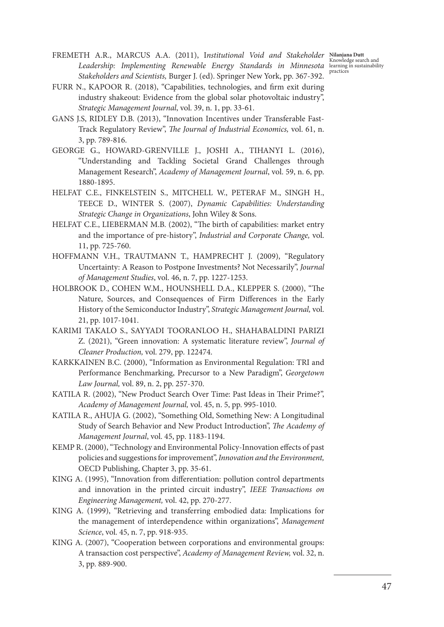- FREMETH A.R., MARCUS A.A. (2011), Institutional Void and Stakeholder **Nilanjana Dut**<br>Completion of the completion of the completion of the completion of the completion of the completion of the compl Leadership: Implementing Renewable Energy Standards in Minnesota learning in sustainability<br>Carl January in 1991, the Carl of the Carl of the Carl of the Carl of the Carl of the Carl of the Carl of the<br>Carl of the Carl of *Stakeholders and Scientists,* Burger J. (ed). Springer New York, pp. 367-392.
- FURR N., KAPOOR R. (2018), "Capabilities, technologies, and firm exit during industry shakeout: Evidence from the global solar photovoltaic industry", *Strategic Management Journal*, vol. 39, n. 1, pp. 33-61.
- GANS J.S, RIDLEY D.B. (2013), "Innovation Incentives under Transferable Fast-Track Regulatory Review", *The Journal of Industrial Economics,* vol. 61, n. 3, pp. 789-816.
- GEORGE G., HOWARD-GRENVILLE J., JOSHI A., TIHANYI L. (2016), "Understanding and Tackling Societal Grand Challenges through Management Research", *Academy of Management Journal*, vol. 59, n. 6, pp. 1880-1895.
- HELFAT C.E., FINKELSTEIN S., MITCHELL W., PETERAF M., SINGH H., TEECE D., WINTER S. (2007), *Dynamic Capabilities: Understanding Strategic Change in Organizations*, John Wiley & Sons.
- HELFAT C.E., LIEBERMAN M.B. (2002), "The birth of capabilities: market entry and the importance of pre-history", *Industrial and Corporate Change,* vol. 11, pp. 725-760.
- HOFFMANN V.H., TRAUTMANN T., HAMPRECHT J. (2009), "Regulatory Uncertainty: A Reason to Postpone Investments? Not Necessarily", *Journal of Management Studies*, vol. 46, n. 7, pp. 1227-1253.
- HOLBROOK D., COHEN W.M., HOUNSHELL D.A., KLEPPER S. (2000), "The Nature, Sources, and Consequences of Firm Differences in the Early History of the Semiconductor Industry", *Strategic Management Journal,* vol. 21, pp. 1017-1041.
- KARIMI TAKALO S., SAYYADI TOORANLOO H., SHAHABALDINI PARIZI Z. (2021), "Green innovation: A systematic literature review", *Journal of Cleaner Production,* vol. 279, pp. 122474.
- KARKKAINEN B.C. (2000), "Information as Environmental Regulation: TRI and Performance Benchmarking, Precursor to a New Paradigm", *Georgetown Law Journal,* vol. 89, n. 2, pp. 257-370.
- KATILA R. (2002), "New Product Search Over Time: Past Ideas in Their Prime?", *Academy of Management Journal,* vol. 45, n. 5, pp. 995-1010.
- KATILA R., AHUJA G. (2002), "Something Old, Something New: A Longitudinal Study of Search Behavior and New Product Introduction", *The Academy of Management Journal*, vol. 45, pp. 1183-1194.
- KEMP R. (2000), "Technology and Environmental Policy-Innovation effects of past policies and suggestions for improvement", *Innovation and the Environment,* OECD Publishing, Chapter 3, pp. 35-61.
- KING A. (1995), "Innovation from differentiation: pollution control departments and innovation in the printed circuit industry", *IEEE Transactions on Engineering Management,* vol. 42, pp. 270-277.
- KING A. (1999), "Retrieving and transferring embodied data: Implications for the management of interdependence within organizations", *Management Science*, vol. 45, n. 7, pp. 918-935.
- KING A. (2007), "Cooperation between corporations and environmental groups: A transaction cost perspective", *Academy of Management Review,* vol. 32, n. 3, pp. 889-900.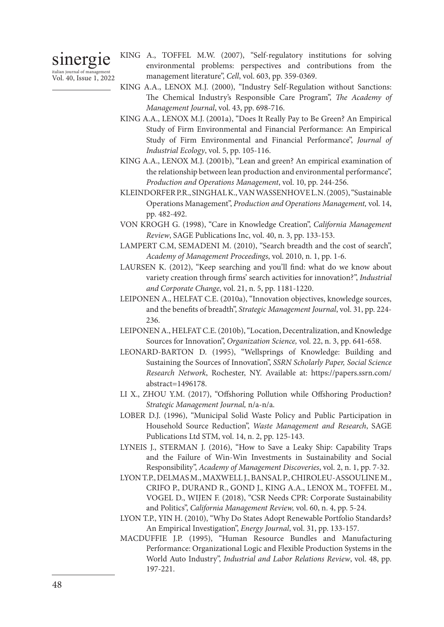# sinergie italian journal of managemen

Vol. 40, Issue 1, 2022

- KING A., TOFFEL M.W. (2007), "Self-regulatory institutions for solving environmental problems: perspectives and contributions from the management literature", *Cell*, vol. 603, pp. 359-0369.
- KING A.A., LENOX M.J. (2000), "Industry Self-Regulation without Sanctions: The Chemical Industry's Responsible Care Program", *The Academy of Management Journal*, vol. 43, pp. 698-716.
- KING A.A., LENOX M.J. (2001a), "Does It Really Pay to Be Green? An Empirical Study of Firm Environmental and Financial Performance: An Empirical Study of Firm Environmental and Financial Performance", *Journal of Industrial Ecology*, vol. 5, pp. 105-116.
- KING A.A., LENOX M.J. (2001b), "Lean and green? An empirical examination of the relationship between lean production and environmental performance", *Production and Operations Management*, vol. 10, pp. 244-256.
- KLEINDORFER P.R., SINGHAL K., VAN WASSENHOVE L.N. (2005), "Sustainable Operations Management", *Production and Operations Management,* vol. 14, pp. 482-492.
- VON KROGH G. (1998), "Care in Knowledge Creation", *California Management Review*, SAGE Publications Inc, vol. 40, n. 3, pp. 133-153.
- LAMPERT C.M, SEMADENI M. (2010), "Search breadth and the cost of search", *Academy of Management Proceedings*, vol. 2010, n. 1, pp. 1-6.
- LAURSEN K. (2012), "Keep searching and you'll find: what do we know about variety creation through firms' search activities for innovation?", *Industrial and Corporate Change*, vol. 21, n. 5, pp. 1181-1220.
- LEIPONEN A., HELFAT C.E. (2010a), "Innovation objectives, knowledge sources, and the benefits of breadth", *Strategic Management Journal*, vol. 31, pp. 224- 236.
- LEIPONEN A., HELFAT C.E. (2010b), "Location, Decentralization, and Knowledge Sources for Innovation", *Organization Science,* vol. 22, n. 3, pp. 641-658.
- LEONARD-BARTON D. (1995), "Wellsprings of Knowledge: Building and Sustaining the Sources of Innovation", *SSRN Scholarly Paper, Social Science Research Network*, Rochester, NY. Available at: https://papers.ssrn.com/ abstract=1496178.
- LI X., ZHOU Y.M. (2017), "Offshoring Pollution while Offshoring Production? *Strategic Management Journal,* n/a-n/a.
- LOBER D.J. (1996), "Municipal Solid Waste Policy and Public Participation in Household Source Reduction", *Waste Management and Research*, SAGE Publications Ltd STM, vol. 14, n. 2, pp. 125-143.
- LYNEIS J., STERMAN J. (2016), "How to Save a Leaky Ship: Capability Traps and the Failure of Win-Win Investments in Sustainability and Social Responsibility", *Academy of Management Discoveries*, vol. 2, n. 1, pp. 7-32.
- LYON T.P., DELMAS M., MAXWELL J., BANSAL P., CHIROLEU-ASSOULINE M., CRIFO P., DURAND R., GOND J., KING A.A., LENOX M., TOFFEL M., VOGEL D., WIJEN F. (2018), "CSR Needs CPR: Corporate Sustainability and Politics", *California Management Review,* vol. 60, n. 4, pp. 5-24.
- LYON T.P., YIN H. (2010), "Why Do States Adopt Renewable Portfolio Standards? An Empirical Investigation", *Energy Journal*, vol. 31, pp. 133-157.
- MACDUFFIE J.P. (1995), "Human Resource Bundles and Manufacturing Performance: Organizational Logic and Flexible Production Systems in the World Auto Industry", *Industrial and Labor Relations Review*, vol. 48, pp. 197-221.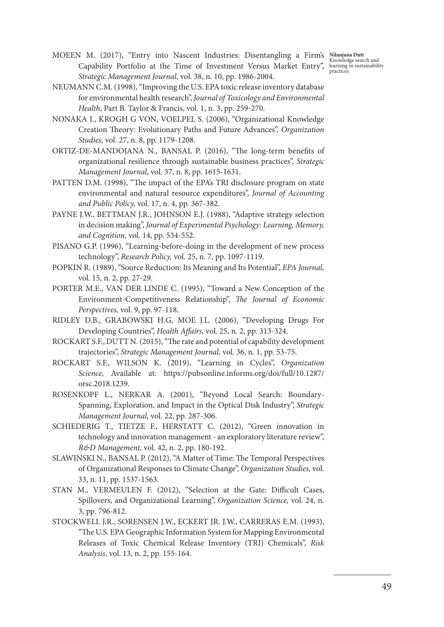- MOEEN M. (2017), "Entry into Nascent Industries: Disentangling a Firm's Capability Portfolio at the Time of Investment Versus Market Entry", learning in sustainability<br>
State in the Market Lines of Language and the practices *Strategic Management Journal*, vol. 38, n. 10, pp. 1986-2004. MOEEN M. (2017), "Entry into Nascent Industries: Disentangling a Firm's Nilanjana Dutt
- NEUMANN C.M. (1998), "Improving the U.S. EPA toxic release inventory database for environmental health research", *Journal of Toxicology and Environmental Health*, Part B. Taylor & Francis, vol. 1, n. 3, pp. 259-270.
- NONAKA I., KROGH G VON, VOELPEL S. (2006), "Organizational Knowledge Creation Theory: Evolutionary Paths and Future Advances", *Organization Studies*, vol. 27, n. 8, pp. 1179-1208.
- ORTIZ-DE-MANDOJANA N., BANSAL P. (2016), "The long-term benefits of organizational resilience through sustainable business practices", *Strategic Management Journal*, vol. 37, n. 8, pp. 1615-1631.
- PATTEN D.M. (1998), "The impact of the EPA's TRI disclosure program on state environmental and natural resource expenditures", *Journal of Accounting and Public Policy,* vol. 17, n. 4, pp. 367-382.
- PAYNE J.W., BETTMAN J.R., JOHNSON E.J. (1988), "Adaptive strategy selection in decision making", *Journal of Experimental Psychology: Learning, Memory, and Cognition,* vol. 14, pp. 534-552.
- PISANO G.P. (1996), "Learning-before-doing in the development of new process technology", *Research Policy,* vol. 25, n. 7, pp. 1097-1119.
- POPKIN R. (1989), "Source Reduction: Its Meaning and Its Potential", *EPA Journal,*  vol. 15, n. 2, pp. 27-29.
- PORTER M.E., VAN DER LINDE C. (1995), "Toward a New Conception of the Environment-Competitiveness Relationship", *The Journal of Economic Perspectives,* vol. 9, pp. 97-118.
- RIDLEY D.B., GRABOWSKI H.G, MOE J.L. (2006), "Developing Drugs For Developing Countries", *Health Affairs,* vol. 25, n. 2, pp. 313-324.
- ROCKART S.F., DUTT N. (2015), "The rate and potential of capability development trajectories", *Strategic Management Journal,* vol. 36, n. 1, pp. 53-75.
- ROCKART S.F., WILSON K. (2019), "Learning in Cycles", *Organization Science*, Available at: https://pubsonline.informs.org/doi/full/10.1287/ orsc.2018.1239.
- ROSENKOPF L., NERKAR A. (2001), "Beyond Local Search: Boundary-Spanning, Exploration, and Impact in the Optical Disk Industry", *Strategic Management Journal,* vol. 22, pp. 287-306.
- SCHIEDERIG T., TIETZE F., HERSTATT C. (2012), "Green innovation in technology and innovation management - an exploratory literature review", *R&D Management,* vol. 42, n. 2, pp. 180-192.
- SLAWINSKI N., BANSAL P. (2012), "A Matter of Time: The Temporal Perspectives of Organizational Responses to Climate Change", *Organization Studies,* vol. 33, n. 11, pp. 1537-1563.
- STAN M., VERMEULEN F. (2012), "Selection at the Gate: Difficult Cases, Spillovers, and Organizational Learning", *Organization Science,* vol. 24, n. 3, pp. 796-812.
- STOCKWELL J.R., SORENSEN J.W., ECKERT JR. J.W., CARRERAS E.M. (1993), "The U.S. EPA Geographic Information System for Mapping Environmental Releases of Toxic Chemical Release Inventory (TRI) Chemicals", *Risk Analysis*, vol. 13, n. 2, pp. 155-164.